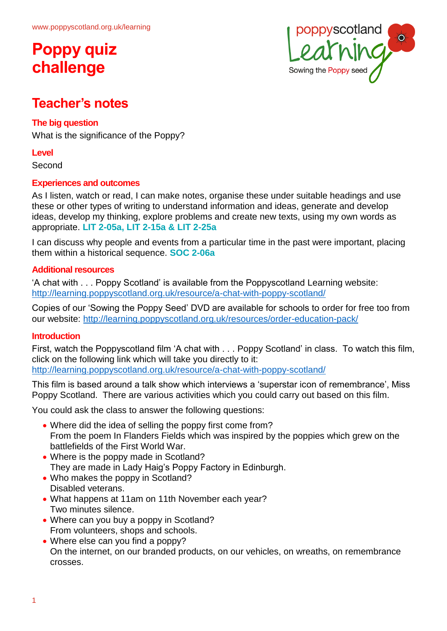

### **Teacher's notes**

#### **The big question**

What is the significance of the Poppy?

#### **Level**

Second

#### **Experiences and outcomes**

As I listen, watch or read, I can make notes, organise these under suitable headings and use these or other types of writing to understand information and ideas, generate and develop ideas, develop my thinking, explore problems and create new texts, using my own words as appropriate. **LIT 2-05a, LIT 2-15a & LIT 2-25a**

I can discuss why people and events from a particular time in the past were important, placing them within a historical sequence. **SOC 2-06a**

#### **Additional resources**

'A chat with . . . Poppy Scotland' is available from the Poppyscotland Learning website: <http://learning.poppyscotland.org.uk/resource/a-chat-with-poppy-scotland/>

Copies of our 'Sowing the Poppy Seed' DVD are available for schools to order for free too from our website:<http://learning.poppyscotland.org.uk/resources/order-education-pack/>

#### **Introduction**

First, watch the Poppyscotland film 'A chat with . . . Poppy Scotland' in class. To watch this film, click on the following link which will take you directly to it: <http://learning.poppyscotland.org.uk/resource/a-chat-with-poppy-scotland/>

This film is based around a talk show which interviews a 'superstar icon of remembrance', Miss Poppy Scotland. There are various activities which you could carry out based on this film.

You could ask the class to answer the following questions:

- Where did the idea of selling the poppy first come from? From the poem In Flanders Fields which was inspired by the poppies which grew on the battlefields of the First World War.
- Where is the poppy made in Scotland? They are made in Lady Haig's Poppy Factory in Edinburgh.
- Who makes the poppy in Scotland? Disabled veterans.
- What happens at 11am on 11th November each year? Two minutes silence.
- Where can you buy a poppy in Scotland? From volunteers, shops and schools.
- Where else can you find a poppy? On the internet, on our branded products, on our vehicles, on wreaths, on remembrance crosses.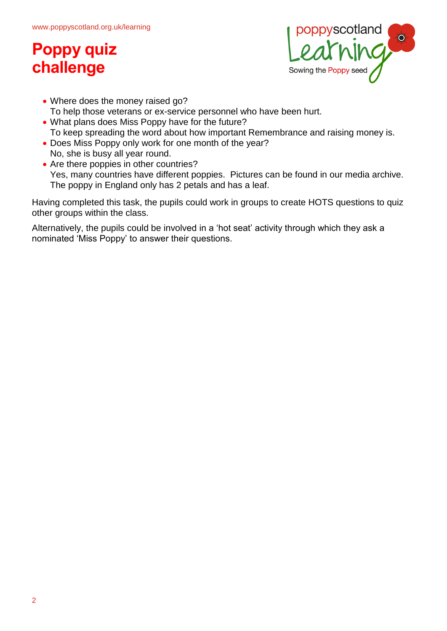

- Where does the money raised go? To help those veterans or ex-service personnel who have been hurt.
- What plans does Miss Poppy have for the future? To keep spreading the word about how important Remembrance and raising money is.
- Does Miss Poppy only work for one month of the year? No, she is busy all year round.
- Are there poppies in other countries? Yes, many countries have different poppies. Pictures can be found in our media archive. The poppy in England only has 2 petals and has a leaf.

Having completed this task, the pupils could work in groups to create HOTS questions to quiz other groups within the class.

Alternatively, the pupils could be involved in a 'hot seat' activity through which they ask a nominated 'Miss Poppy' to answer their questions.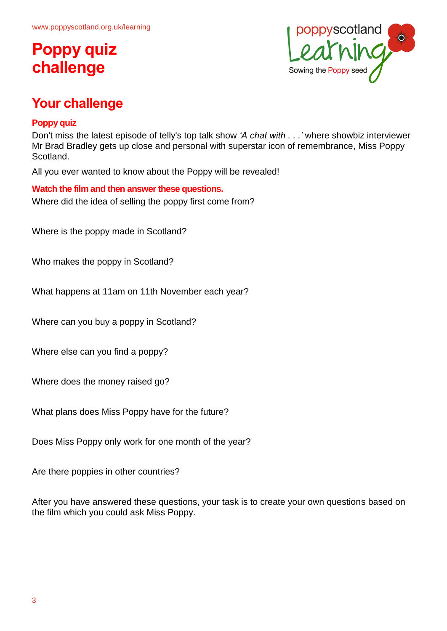

## **Your challenge**

#### **Poppy quiz**

Don't miss the latest episode of telly's top talk show *'A chat with . . .'* where showbiz interviewer Mr Brad Bradley gets up close and personal with superstar icon of remembrance, Miss Poppy Scotland.

All you ever wanted to know about the Poppy will be revealed!

**Watch the film and then answer these questions.** Where did the idea of selling the poppy first come from?

Where is the poppy made in Scotland?

Who makes the poppy in Scotland?

What happens at 11am on 11th November each year?

Where can you buy a poppy in Scotland?

Where else can you find a poppy?

Where does the money raised go?

What plans does Miss Poppy have for the future?

Does Miss Poppy only work for one month of the year?

Are there poppies in other countries?

After you have answered these questions, your task is to create your own questions based on the film which you could ask Miss Poppy.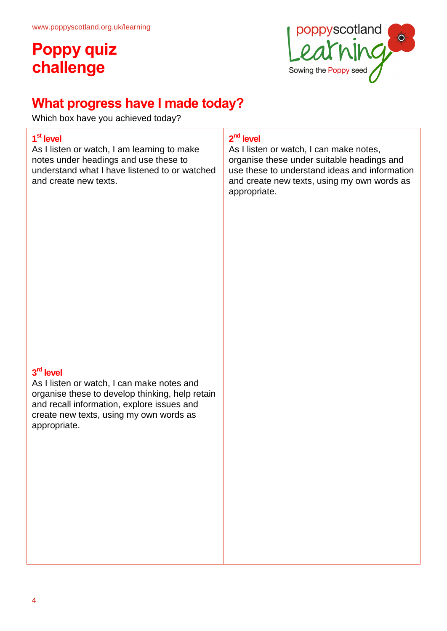

## **What progress have I made today?**

Which box have you achieved today?

#### **1 st level**

As I listen or watch, I am learning to make notes under headings and use these to understand what I have listened to or watched and create new texts.

#### **2 nd level**

As I listen or watch, I can make notes, organise these under suitable headings and use these to understand ideas and information and create new texts, using my own words as appropriate.

#### **3 rd level**

As I listen or watch, I can make notes and organise these to develop thinking, help retain and recall information, explore issues and create new texts, using my own words as appropriate.